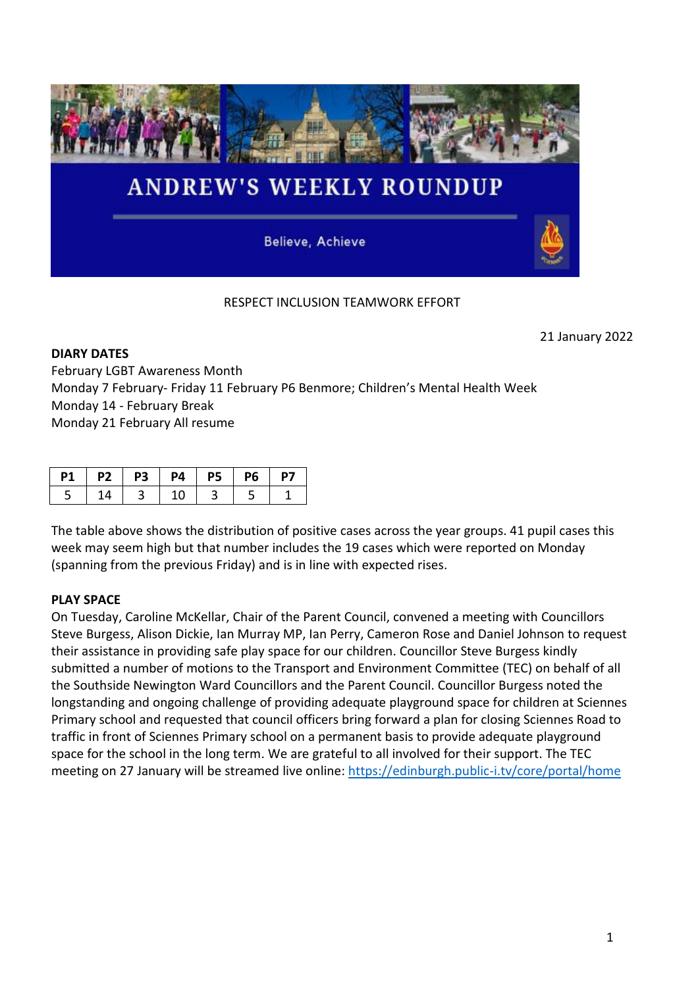

# RESPECT INCLUSION TEAMWORK EFFORT

21 January 2022

**DIARY DATES** February LGBT Awareness Month Monday 7 February- Friday 11 February P6 Benmore; Children's Mental Health Week Monday 14 - February Break Monday 21 February All resume

|  |  | P2   P3   P4   P5   P6 | P7 |
|--|--|------------------------|----|
|  |  |                        |    |

The table above shows the distribution of positive cases across the year groups. 41 pupil cases this week may seem high but that number includes the 19 cases which were reported on Monday (spanning from the previous Friday) and is in line with expected rises.

## **PLAY SPACE**

On Tuesday, Caroline McKellar, Chair of the Parent Council, convened a meeting with Councillors Steve Burgess, Alison Dickie, Ian Murray MP, Ian Perry, Cameron Rose and Daniel Johnson to request their assistance in providing safe play space for our children. Councillor Steve Burgess kindly submitted a number of motions to the Transport and Environment Committee (TEC) on behalf of all the Southside Newington Ward Councillors and the Parent Council. Councillor Burgess noted the longstanding and ongoing challenge of providing adequate playground space for children at Sciennes Primary school and requested that council officers bring forward a plan for closing Sciennes Road to traffic in front of Sciennes Primary school on a permanent basis to provide adequate playground space for the school in the long term. We are grateful to all involved for their support. The TEC meeting on 27 January will be streamed live online:<https://edinburgh.public-i.tv/core/portal/home>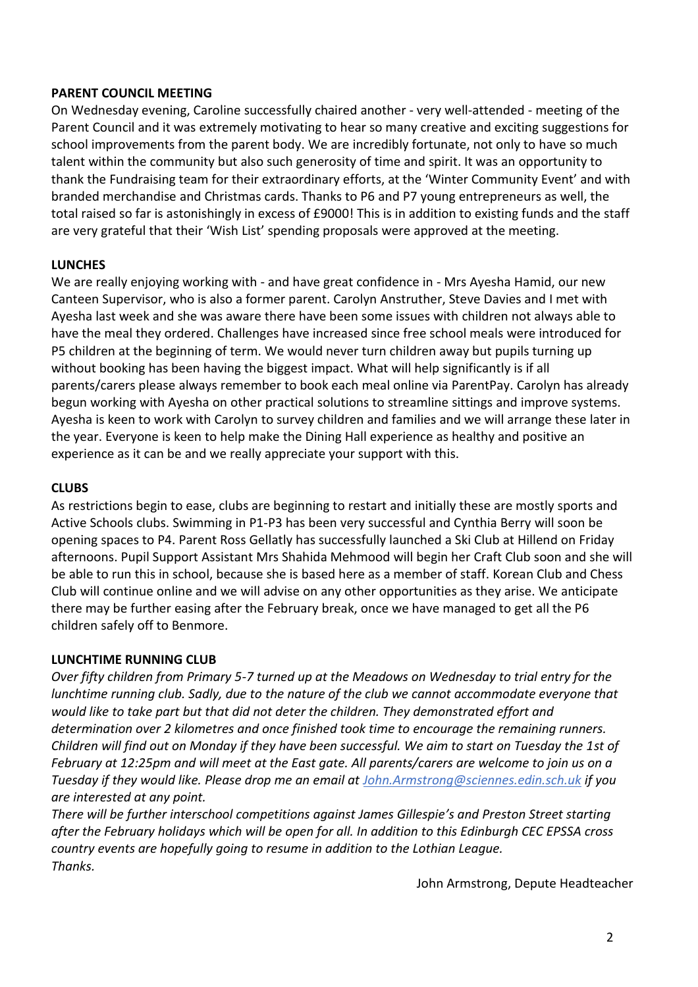## **PARENT COUNCIL MEETING**

On Wednesday evening, Caroline successfully chaired another - very well-attended - meeting of the Parent Council and it was extremely motivating to hear so many creative and exciting suggestions for school improvements from the parent body. We are incredibly fortunate, not only to have so much talent within the community but also such generosity of time and spirit. It was an opportunity to thank the Fundraising team for their extraordinary efforts, at the 'Winter Community Event' and with branded merchandise and Christmas cards. Thanks to P6 and P7 young entrepreneurs as well, the total raised so far is astonishingly in excess of £9000! This is in addition to existing funds and the staff are very grateful that their 'Wish List' spending proposals were approved at the meeting.

#### **LUNCHES**

We are really enjoying working with - and have great confidence in - Mrs Ayesha Hamid, our new Canteen Supervisor, who is also a former parent. Carolyn Anstruther, Steve Davies and I met with Ayesha last week and she was aware there have been some issues with children not always able to have the meal they ordered. Challenges have increased since free school meals were introduced for P5 children at the beginning of term. We would never turn children away but pupils turning up without booking has been having the biggest impact. What will help significantly is if all parents/carers please always remember to book each meal online via ParentPay. Carolyn has already begun working with Ayesha on other practical solutions to streamline sittings and improve systems. Ayesha is keen to work with Carolyn to survey children and families and we will arrange these later in the year. Everyone is keen to help make the Dining Hall experience as healthy and positive an experience as it can be and we really appreciate your support with this.

#### **CLUBS**

As restrictions begin to ease, clubs are beginning to restart and initially these are mostly sports and Active Schools clubs. Swimming in P1-P3 has been very successful and Cynthia Berry will soon be opening spaces to P4. Parent Ross Gellatly has successfully launched a Ski Club at Hillend on Friday afternoons. Pupil Support Assistant Mrs Shahida Mehmood will begin her Craft Club soon and she will be able to run this in school, because she is based here as a member of staff. Korean Club and Chess Club will continue online and we will advise on any other opportunities as they arise. We anticipate there may be further easing after the February break, once we have managed to get all the P6 children safely off to Benmore.

## **LUNCHTIME RUNNING CLUB**

*Over fifty children from Primary 5-7 turned up at the Meadows on Wednesday to trial entry for the lunchtime running club. Sadly, due to the nature of the club we cannot accommodate everyone that would like to take part but that did not deter the children. They demonstrated effort and determination over 2 kilometres and once finished took time to encourage the remaining runners. Children will find out on Monday if they have been successful. We aim to start on Tuesday the 1st of February at 12:25pm and will meet at the East gate. All parents/carers are welcome to join us on a Tuesday if they would like. Please drop me an email at [John.Armstrong@sciennes.edin.sch.uk](mailto:John.Armstrong@sciennes.edin.sch.uk) if you are interested at any point.*

*There will be further interschool competitions against James Gillespie's and Preston Street starting after the February holidays which will be open for all. In addition to this Edinburgh CEC EPSSA cross country events are hopefully going to resume in addition to the Lothian League. Thanks.*

John Armstrong, Depute Headteacher